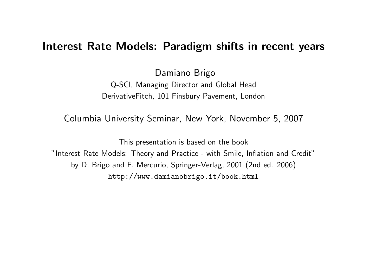#### Interest Rate Models: Paradigm shifts in recent years

Damiano Brigo Q-SCI, Managing Director and Global Head DerivativeFitch, 101 Finsbury Pavement, London

Columbia University Seminar, New York, November 5, 2007

This presentation is based on the book "Interest Rate Models: Theory and Practice - with Smile, Inflation and Credit" by D. Brigo and F. Mercurio, Springer-Verlag, 2001 (2nd ed. 2006) http://www.damianobrigo.it/book.html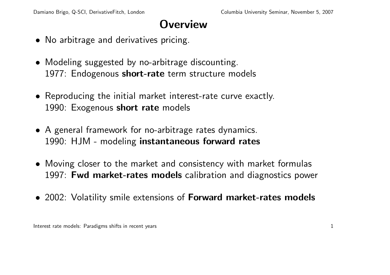#### **Overview**

- No arbitrage and derivatives pricing.
- Modeling suggested by no-arbitrage discounting. 1977: Endogenous short-rate term structure models
- Reproducing the initial market interest-rate curve exactly. 1990: Exogenous short rate models
- A general framework for no-arbitrage rates dynamics. 1990: HJM - modeling instantaneous forward rates
- Moving closer to the market and consistency with market formulas 1997: Fwd market-rates models calibration and diagnostics power
- 2002: Volatility smile extensions of **Forward market-rates models**

Interest rate models: Paradigms shifts in recent years 1 and 200 m and 200 m and 200 m and 200 m and 200 m and 200 m and 200 m and 200 m and 200 m and 200 m and 200 m and 200 m and 200 m and 200 m and 200 m and 200 m and 2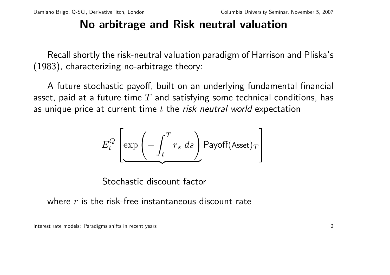## No arbitrage and Risk neutral valuation

Recall shortly the risk-neutral valuation paradigm of Harrison and Pliska's (1983), characterizing no-arbitrage theory:

A future stochastic payoff, built on an underlying fundamental financial asset, paid at a future time  $T$  and satisfying some technical conditions, has as unique price at current time  $t$  the risk neutral world expectation

$$
E_t^Q \left[ \exp \left( - \int_t^T r_s \ ds \right) \text{Payoff}(\text{Asset})_T \right]
$$

Stochastic discount factor

where  $r$  is the risk-free instantaneous discount rate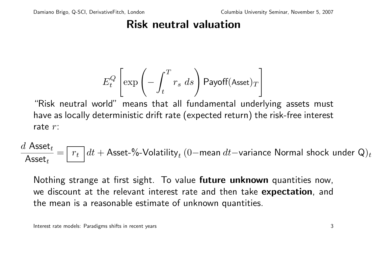## Risk neutral valuation

$$
E_t^Q \left[ \exp \left( - \int_t^T r_s \ ds \right) \text{Payoff}(\text{Asset})_T \right]
$$

"Risk neutral world" means that all fundamental underlying assets must have as locally deterministic drift rate (expected return) the risk-free interest rate r:

$$
\frac{d\text{ Asset}_t}{\text{Asset}_t} = \boxed{r_t} \, dt + \text{ Asset-}\% \text{-Volatility}_t \ (0 - \text{mean } dt - \text{variance Normal shock under Q)_t
$$

Nothing strange at first sight. To value future unknown quantities now, we discount at the relevant interest rate and then take expectation, and the mean is a reasonable estimate of unknown quantities.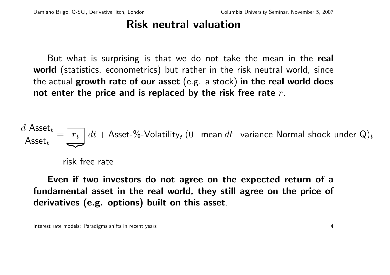## Risk neutral valuation

But what is surprising is that we do not take the mean in the real world (statistics, econometrics) but rather in the risk neutral world, since the actual growth rate of our asset (e.g. a stock) in the real world does not enter the price and is replaced by the risk free rate  $r$ .

$$
\frac{d\text{ Asset}_t}{\text{Asset}_t} = \boxed{r_t} \, dt + \text{ Asset-}\% \text{-Volatility}_t \, (0 - \text{mean } dt - \text{variance Normal shock under Q)_t
$$

risk free rate

Even if two investors do not agree on the expected return of a fundamental asset in the real world, they still agree on the price of derivatives (e.g. options) built on this asset.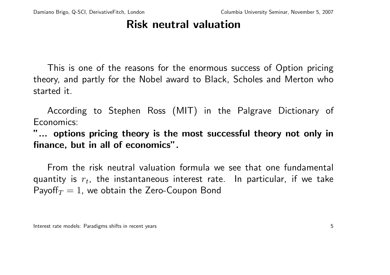#### Risk neutral valuation

This is one of the reasons for the enormous success of Option pricing theory, and partly for the Nobel award to Black, Scholes and Merton who started it.

According to Stephen Ross (MIT) in the Palgrave Dictionary of Economics:

"... options pricing theory is the most successful theory not only in finance, but in all of economics".

From the risk neutral valuation formula we see that one fundamental quantity is  $r_t$ , the instantaneous interest rate. In particular, if we take Payoff $T = 1$ , we obtain the Zero-Coupon Bond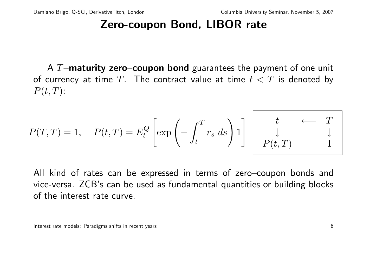## Zero-coupon Bond, LIBOR rate

A  $T$ –maturity zero–coupon bond guarantees the payment of one unit of currency at time T. The contract value at time  $t < T$  is denoted by  $P(t, T)$ :

$$
P(T,T) = 1, \quad P(t,T) = E_t^Q \left[ \exp\left(-\int_t^T r_s \, ds\right) 1 \right] \begin{array}{ccc} t & \longleftarrow & T \\ \downarrow & & \downarrow \\ P(t,T) & & 1 \end{array}
$$

All kind of rates can be expressed in terms of zero–coupon bonds and vice-versa. ZCB's can be used as fundamental quantities or building blocks of the interest rate curve.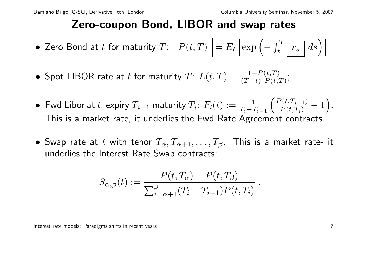## Zero-coupon Bond, LIBOR and swap rates

- $\bullet\,$  Zero Bond at  $t$  for maturity  $T\colon\big\vert\,$   $P(t,T)\,\big\vert = E_t$  $\int \exp \left(-\frac{1}{2} \right)$  $\int_0^T$  $\left\{ \frac{r}{t} \left[ \left. \frac{r}{r_s} \right] ds \right) \right\}$
- Spot LIBOR rate at  $t$  for maturity  $T: \ L(t,T) = \frac{1-P(t,T)}{(T-t)\ P(t,T)};$
- $\bullet$  Fwd Libor at  $t$ , expiry  $T_{i-1}$  maturity  $T_i$ :  $F_i(t) := \frac{1}{T_i T_{i-1}}$  $\overline{a}$  $\frac{P(t,T_{i-1})}{P(t,T_i)}-1$ ´ . This is a market rate, it underlies the Fwd Rate Agreement contracts.
- Swap rate at t with tenor  $T_{\alpha}, T_{\alpha+1}, \ldots, T_{\beta}$ . This is a market rate- it underlies the Interest Rate Swap contracts:

$$
S_{\alpha,\beta}(t) := \frac{P(t,T_\alpha) - P(t,T_\beta)}{\sum_{i=\alpha+1}^\beta (T_i - T_{i-1}) P(t,T_i)}.
$$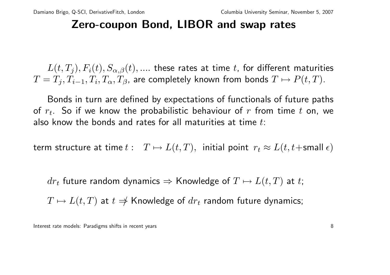## Zero-coupon Bond, LIBOR and swap rates

 $L(t, T_i), F_i(t), S_{\alpha,\beta}(t), \dots$  these rates at time t, for different maturities  $T=T_j, T_{i-1}, T_i, T_\alpha, T_\beta$ , are completely known from bonds  $T\mapsto P(t,T).$ 

Bonds in turn are defined by expectations of functionals of future paths of  $r_t$ . So if we know the probabilistic behaviour of r from time t on, we also know the bonds and rates for all maturities at time  $t$ :

term structure at time  $t: T \mapsto L(t,T)$ , initial point  $r_t \approx L(t, t+\text{small } \epsilon)$ 

 $dr_t$  future random dynamics  $\Rightarrow$  Knowledge of  $T \mapsto L(t, T)$  at t;

 $T \mapsto L(t, T)$  at  $t \neq$  Knowledge of  $dr_t$  random future dynamics;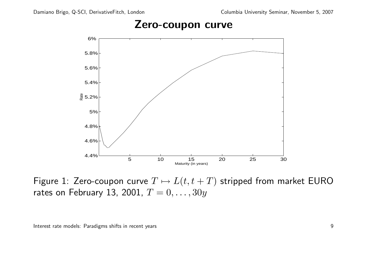#### Zero-coupon curve



Figure 1: Zero-coupon curve  $T \mapsto L(t, t + T)$  stripped from market EURO rates on February 13, 2001,  $T = 0, \ldots, 30y$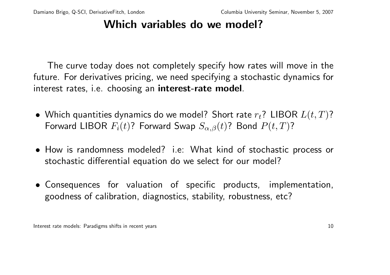## Which variables do we model?

The curve today does not completely specify how rates will move in the future. For derivatives pricing, we need specifying a stochastic dynamics for interest rates, i.e. choosing an interest-rate model.

- Which quantities dynamics do we model? Short rate  $r_t$ ? LIBOR  $L(t, T)$ ? Forward LIBOR  $F_i(t)$ ? Forward Swap  $S_{\alpha,\beta}(t)$ ? Bond  $P(t,T)$ ?
- How is randomness modeled? i.e: What kind of stochastic process or stochastic differential equation do we select for our model?
- Consequences for valuation of specific products, implementation, goodness of calibration, diagnostics, stability, robustness, etc?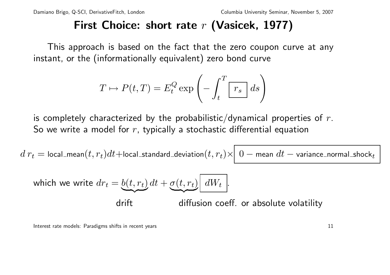## First Choice: short rate  $r$  (Vasicek, 1977)

This approach is based on the fact that the zero coupon curve at any instant, or the (informationally equivalent) zero bond curve

$$
T \mapsto P(t,T) = E_t^Q \exp\left(-\int_t^T \boxed{r_s} ds\right)
$$

is completely characterized by the probabilistic/dynamical properties of  $r$ . So we write a model for  $r$ , typically a stochastic differential equation

 $d\,r_t=$  local\_mean $(t,r_t)dt+$ local\_standard\_deviation $(t,r_t)\times\mid 0-$  mean  $dt-$  variance\_normal\_shock $_t$ 

which we write 
$$
dr_t = \underbrace{b(t, r_t)}{dt} + \underbrace{\sigma(t, r_t)}{dW_t}
$$
.

drift diffusion coeff. or absolute volatility

Interest rate models: Paradigms shifts in recent years 11 and 200 minutes are not a state of the state of the state of the state of the state of the state of the state of the state of the state of the state of the state of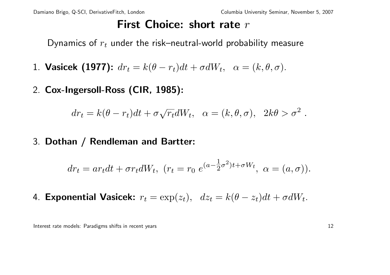#### First Choice: short rate  $r$

Dynamics of  $r_t$  under the risk–neutral-world probability measure

- 1. Vasicek (1977):  $dr_t = k(\theta r_t)dt + \sigma dW_t$ ,  $\alpha = (k, \theta, \sigma)$ .
- 2. Cox-Ingersoll-Ross (CIR, 1985):

$$
dr_t = k(\theta - r_t)dt + \sigma \sqrt{r_t}dW_t, \quad \alpha = (k, \theta, \sigma), \quad 2k\theta > \sigma^2
$$

3. Dothan / Rendleman and Bartter:

$$
dr_t = ar_t dt + \sigma r_t dW_t, \ (r_t = r_0 \ e^{(a - \frac{1}{2}\sigma^2)t + \sigma W_t}, \ \alpha = (a, \sigma)).
$$

4. Exponential Vasicek:  $r_t = \exp(z_t)$ ,  $dz_t = k(\theta - z_t)dt + \sigma dW_t$ .

Interest rate models: Paradigms shifts in recent years 12

.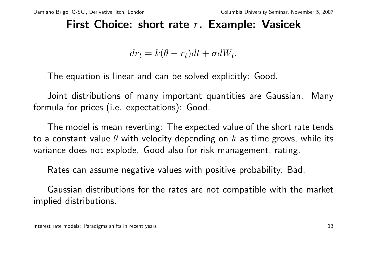## First Choice: short rate  $r$ . Example: Vasicek

 $dr_t = k(\theta - r_t)dt + \sigma dW_t.$ 

The equation is linear and can be solved explicitly: Good.

Joint distributions of many important quantities are Gaussian. Many formula for prices (i.e. expectations): Good.

The model is mean reverting: The expected value of the short rate tends to a constant value  $\theta$  with velocity depending on  $k$  as time grows, while its variance does not explode. Good also for risk management, rating.

Rates can assume negative values with positive probability. Bad.

Gaussian distributions for the rates are not compatible with the market implied distributions.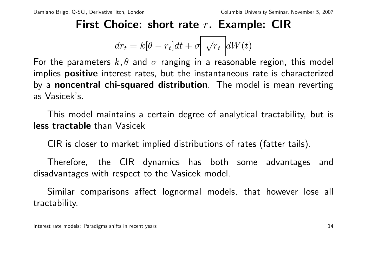## First Choice: short rate  $r$ . Example: CIR

$$
dr_t = k[\theta - r_t]dt + \sigma \sqrt{r_t} dW(t)
$$

For the parameters  $k, \theta$  and  $\sigma$  ranging in a reasonable region, this model implies **positive** interest rates, but the instantaneous rate is characterized by a noncentral chi-squared distribution. The model is mean reverting as Vasicek's.

This model maintains a certain degree of analytical tractability, but is less tractable than Vasicek

CIR is closer to market implied distributions of rates (fatter tails).

Therefore, the CIR dynamics has both some advantages and disadvantages with respect to the Vasicek model.

Similar comparisons affect lognormal models, that however lose all tractability.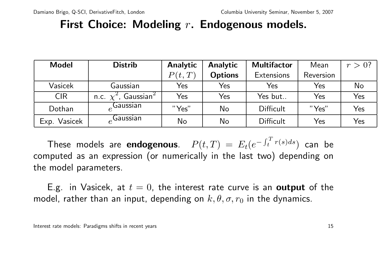## First Choice: Modeling  $r$ . Endogenous models.

| <b>Model</b>           | <b>Distrib</b>                        | <b>Analytic</b> | <b>Analytic</b> | <b>Multifactor</b> | Mean      | $r>0$ ? |
|------------------------|---------------------------------------|-----------------|-----------------|--------------------|-----------|---------|
|                        |                                       | P(t,T)          | <b>Options</b>  | <b>Extensions</b>  | Reversion |         |
| Vasicek                | Gaussian                              | Yes             | Yes             | Yes                | Yes       | No      |
| <b>CIR</b>             | n.c. $\chi^2$ , Gaussian <sup>2</sup> | Yes             | Yes             | Yes but            | Yes       | Yes     |
| Dothan                 | Gaussian                              | "Yes"           | No              | <b>Difficult</b>   | "Yes"     | Yes     |
| <b>Vasicek</b><br>Exp. | ,Gaussian                             | No              | No              | <b>Difficult</b>   | Yes       | Yes     |

These models are endogenous.  $P(t, T) = E_t(e^{-\int_t^T t})$  $\int_t^1 \frac{r(s)ds}{s}$  can be computed as an expression (or numerically in the last two) depending on the model parameters.

E.g. in Vasicek, at  $t = 0$ , the interest rate curve is an output of the model, rather than an input, depending on  $k, \theta, \sigma, r_0$  in the dynamics.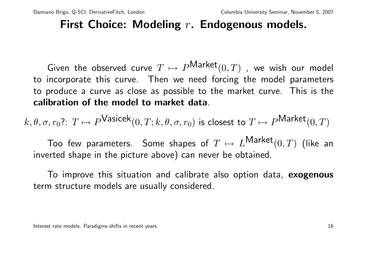## First Choice: Modeling  $r$ . Endogenous models.

Given the observed curve  $T \mapsto P^{\text{Market}}(0, T)$ , we wish our model to incorporate this curve. Then we need forcing the model parameters to produce a curve as close as possible to the market curve. This is the calibration of the model to market data.

 $k,\theta,\sigma,r_0$ ?:  $T\mapsto P^{\textsf{Vasicek}}(0,T;k,\theta,\sigma,r_0)$  is closest to  $T\mapsto P^{\textsf{Market}}(0,T)$ 

Too few parameters. Some shapes of  $T \mapsto L^{\mathsf{Market}}(0,T)$  (like an inverted shape in the picture above) can never be obtained.

To improve this situation and calibrate also option data, exogenous term structure models are usually considered.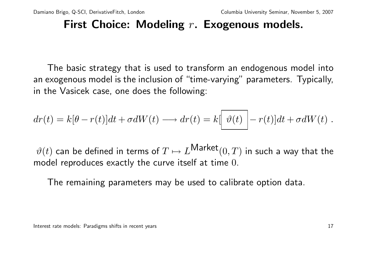## First Choice: Modeling  $r$ . Exogenous models.

The basic strategy that is used to transform an endogenous model into an exogenous model is the inclusion of "time-varying" parameters. Typically, in the Vasicek case, one does the following:

$$
dr(t) = k[\theta - r(t)]dt + \sigma dW(t) \longrightarrow dr(t) = k[\theta(t)] - r(t)]dt + \sigma dW(t) .
$$

 $\vartheta(t)$  can be defined in terms of  $T \mapsto L^\mathsf{Market}(0,T)$  in such a way that the model reproduces exactly the curve itself at time 0.

The remaining parameters may be used to calibrate option data.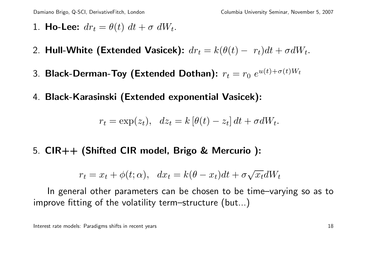- 1. Ho-Lee:  $dr_t = \theta(t) dt + \sigma dW_t$ .
- 2. Hull-White (Extended Vasicek):  $dr_t = k(\theta(t) r_t)dt + \sigma dW_t$ .
- 3. Black-Derman-Toy (Extended Dothan):  $r_t = r_0\; e^{u(t)+\sigma(t) W_t}$
- 4. Black-Karasinski (Extended exponential Vasicek):

$$
r_t = \exp(z_t), \quad dz_t = k \left[\theta(t) - z_t\right] dt + \sigma dW_t.
$$

5. CIR++ (Shifted CIR model, Brigo & Mercurio ):

$$
r_t = x_t + \phi(t; \alpha), \quad dx_t = k(\theta - x_t)dt + \sigma \sqrt{x_t}dW_t
$$

In general other parameters can be chosen to be time–varying so as to improve fitting of the volatility term–structure (but...)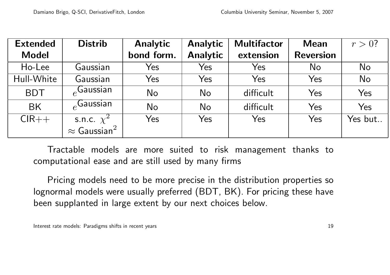| <b>Extended</b> | <b>Distrib</b>                  | <b>Analytic</b> | <b>Analytic</b> | <b>Multifactor</b> | <b>Mean</b>      | $r > 0$ ? |
|-----------------|---------------------------------|-----------------|-----------------|--------------------|------------------|-----------|
| <b>Model</b>    |                                 | bond form.      | <b>Analytic</b> | extension          | <b>Reversion</b> |           |
| Ho-Lee          | Gaussian                        | Yes             | Yes             | Yes                | No               | No        |
| Hull-White      | Gaussian                        | Yes             | Yes             | Yes                | Yes              | <b>No</b> |
| <b>BDT</b>      | $_{\rho}$ Gaussian              | No              | No              | difficult          | Yes              | Yes       |
| <b>BK</b>       | $_{\circ}$ Gaussian             | No              | <b>No</b>       | difficult          | Yes              | Yes       |
| $CIR++$         | s.n.c. $\chi^2$                 | Yes             | Yes             | Yes                | Yes              | Yes but   |
|                 | $\approx$ Gaussian <sup>2</sup> |                 |                 |                    |                  |           |

Tractable models are more suited to risk management thanks to computational ease and are still used by many firms

Pricing models need to be more precise in the distribution properties so lognormal models were usually preferred (BDT, BK). For pricing these have been supplanted in large extent by our next choices below.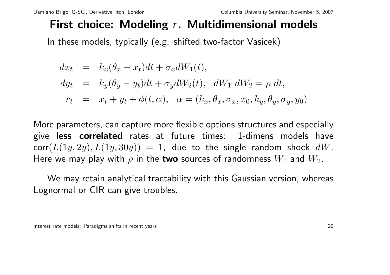# First choice: Modeling  $r$ . Multidimensional models

In these models, typically (e.g. shifted two-factor Vasicek)

$$
dx_t = k_x(\theta_x - x_t)dt + \sigma_x dW_1(t),
$$
  
\n
$$
dy_t = k_y(\theta_y - y_t)dt + \sigma_y dW_2(t), dW_1 dW_2 = \rho dt,
$$
  
\n
$$
r_t = x_t + y_t + \phi(t, \alpha), \alpha = (k_x, \theta_x, \sigma_x, x_0, k_y, \theta_y, \sigma_y, y_0)
$$

More parameters, can capture more flexible options structures and especially give less correlated rates at future times: 1-dimens models have  $corr(L(1y, 2y), L(1y, 30y)) = 1$ , due to the single random shock dW. Here we may play with  $\rho$  in the two sources of randomness  $W_1$  and  $W_2$ .

We may retain analytical tractability with this Gaussian version, whereas Lognormal or CIR can give troubles.

Interest rate models: Paradigms shifts in recent years 20 and 20 and 20 and 20 and 20 and 20 and 20 and 20 and 20 and 20 and 20 and 20 and 20 and 20 and 20 and 20 and 20 and 20 and 20 and 20 and 20 and 20 and 20 and 20 and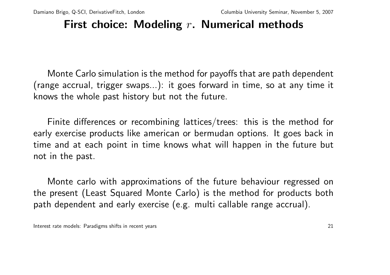## First choice: Modeling  $r$ . Numerical methods

Monte Carlo simulation is the method for payoffs that are path dependent (range accrual, trigger swaps...): it goes forward in time, so at any time it knows the whole past history but not the future.

Finite differences or recombining lattices/trees: this is the method for early exercise products like american or bermudan options. It goes back in time and at each point in time knows what will happen in the future but not in the past.

Monte carlo with approximations of the future behaviour regressed on the present (Least Squared Monte Carlo) is the method for products both path dependent and early exercise (e.g. multi callable range accrual).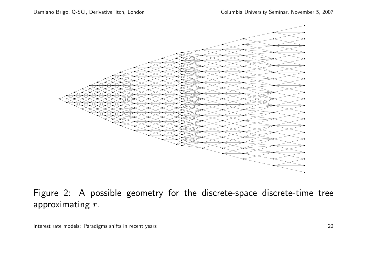

Figure 2: A possible geometry for the discrete-space discrete-time tree approximating r.

Interest rate models: Paradigms shifts in recent years **22** and 22 and 22 and 22 and 22 and 22 and 22 and 22 and 22 and 22 and 22 and 22 and 22 and 22 and 22 and 22 and 22 and 22 and 22 and 22 and 22 and 22 and 22 and 22 a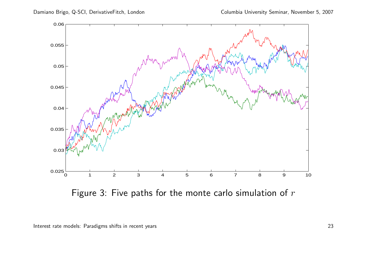

Figure 3: Five paths for the monte carlo simulation of  $r$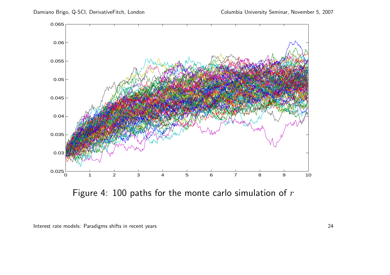

Figure 4: 100 paths for the monte carlo simulation of  $r$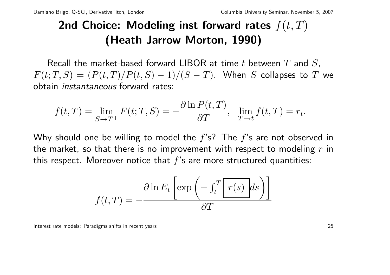# 2nd Choice: Modeling inst forward rates  $f(t, T)$ (Heath Jarrow Morton, 1990)

Recall the market-based forward LIBOR at time t between  $T$  and  $S$ ,  $F(t; T, S) = (P(t, T)/P(t, S) - 1)/(S - T)$ . When S collapses to T we obtain instantaneous forward rates:

$$
f(t,T) = \lim_{S \to T^+} F(t;T,S) = -\frac{\partial \ln P(t,T)}{\partial T}, \quad \lim_{T \to t} f(t,T) = r_t.
$$

Why should one be willing to model the  $f$ 's? The  $f$ 's are not observed in the market, so that there is no improvement with respect to modeling  $r$  in this respect. Moreover notice that  $f$ 's are more structured quantities:

$$
f(t,T) = -\frac{\partial \ln E_t \left[ \exp \left( -\int_t^T \left[ r(s) \right] ds \right) \right]}{\partial T}
$$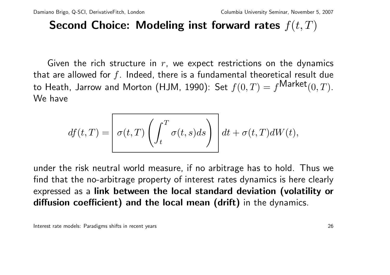## Second Choice: Modeling inst forward rates  $f(t, T)$

Given the rich structure in  $r$ , we expect restrictions on the dynamics that are allowed for  $f$ . Indeed, there is a fundamental theoretical result due to Heath, Jarrow and Morton (HJM, 1990): Set  $f(0,T) = f^{\text{Market}}(0,T)$ . We have

$$
df(t,T) = \left[\sigma(t,T) \left(\int_t^T \sigma(t,s)ds\right)\right] dt + \sigma(t,T)dW(t),
$$

under the risk neutral world measure, if no arbitrage has to hold. Thus we find that the no-arbitrage property of interest rates dynamics is here clearly expressed as a link between the local standard deviation (volatility or diffusion coefficient) and the local mean (drift) in the dynamics.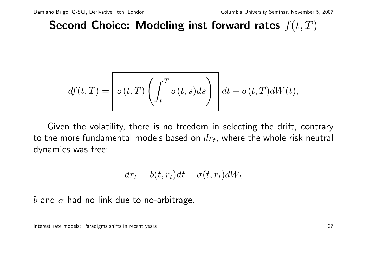Second Choice: Modeling inst forward rates  $f(t, T)$ 

$$
df(t,T) = \left[\sigma(t,T) \left(\int_t^T \sigma(t,s)ds\right)\right] dt + \sigma(t,T)dW(t),
$$

Given the volatility, there is no freedom in selecting the drift, contrary to the more fundamental models based on  $dr_t$ , where the whole risk neutral dynamics was free:

$$
dr_t = b(t, r_t)dt + \sigma(t, r_t)dW_t
$$

b and  $\sigma$  had no link due to no-arbitrage.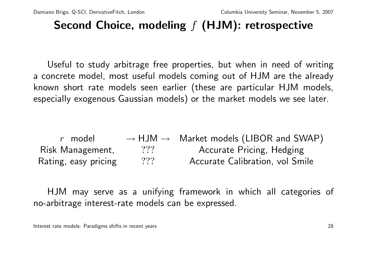## Second Choice, modeling  $f$  (HJM): retrospective

Useful to study arbitrage free properties, but when in need of writing a concrete model, most useful models coming out of HJM are the already known short rate models seen earlier (these are particular HJM models, especially exogenous Gaussian models) or the market models we see later.

r model  $\longrightarrow$  HJM  $\rightarrow$  Market models (LIBOR and SWAP) Risk Management, 2?? Accurate Pricing, Hedging Rating, easy pricing 2?? Accurate Calibration, vol Smile

HJM may serve as a unifying framework in which all categories of no-arbitrage interest-rate models can be expressed.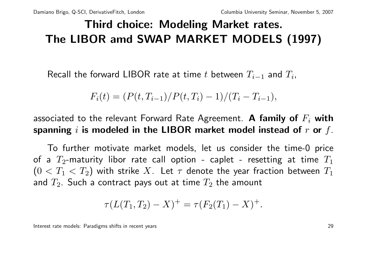# Third choice: Modeling Market rates. The LIBOR amd SWAP MARKET MODELS (1997)

Recall the forward LIBOR rate at time t between  $T_{i-1}$  and  $T_i$ ,

 $F_i(t) = (P(t, T_{i-1})/P(t, T_i) - 1)/(T_i - T_{i-1}),$ 

associated to the relevant Forward Rate Agreement. A family of  $F_i$  with spanning i is modeled in the LIBOR market model instead of  $r$  or  $f$ .

To further motivate market models, let us consider the time-0 price of a  $T_2$ -maturity libor rate call option - caplet - resetting at time  $T_1$  $(0 < T_1 < T_2)$  with strike X. Let  $\tau$  denote the year fraction between  $T_1$ and  $T_2$ . Such a contract pays out at time  $T_2$  the amount

$$
\tau(L(T_1, T_2) - X)^{+} = \tau(F_2(T_1) - X)^{+}.
$$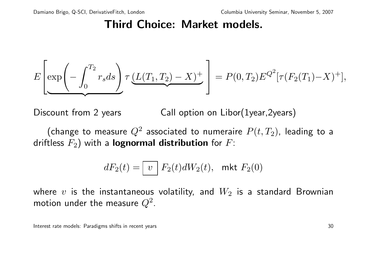$$
E\left[\exp\left(-\int_0^{T_2} r_s ds\right) \tau \underbrace{(L(T_1, T_2) - X)^+}_{=} \right] = P(0, T_2) E^{Q^2}[\tau(F_2(T_1) - X)^+],
$$

Discount from 2 years Call option on Libor(1year, 2years)

(change to measure  $Q^2$  associated to numeraire  $P(t, T_2)$ , leading to a driftless  $F_2$ ) with a **lognormal distribution** for  $F$ :

$$
dF_2(t) = \boxed{v} F_2(t)dW_2(t), \text{ mkt } F_2(0)
$$

where  $v$  is the instantaneous volatility, and  $W_2$  is a standard Brownian motion under the measure  $Q^2.$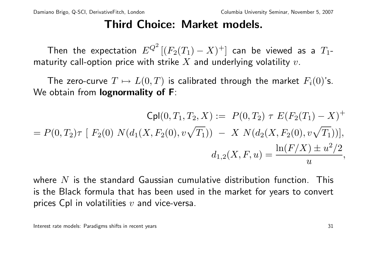Then the expectation  $E^{Q^2} \left [ (F_2(T_1) - X)^+ \right]$  can be viewed as a  $T_1$ maturity call-option price with strike  $X$  and underlying volatility  $v$ .

The zero-curve  $T \mapsto L(0, T)$  is calibrated through the market  $F_i(0)$ 's. We obtain from **lognormality of F**:

$$
\mathsf{Cpl}(0, T_1, T_2, X) := P(0, T_2) \tau E(F_2(T_1) - X)^+
$$
  
=  $P(0, T_2) \tau [F_2(0) N(d_1(X, F_2(0), v\sqrt{T_1})) - X N(d_2(X, F_2(0), v\sqrt{T_1}))],$   

$$
d_{1,2}(X, F, u) = \frac{\ln(F/X) \pm u^2/2}{u},
$$

where  $N$  is the standard Gaussian cumulative distribution function. This is the Black formula that has been used in the market for years to convert prices Cpl in volatilities  $v$  and vice-versa.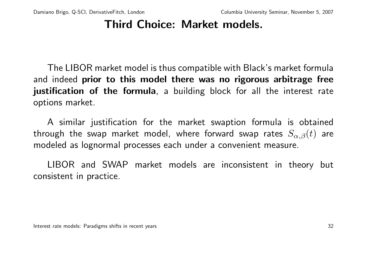The LIBOR market model is thus compatible with Black's market formula and indeed prior to this model there was no rigorous arbitrage free justification of the formula, a building block for all the interest rate options market.

A similar justification for the market swaption formula is obtained through the swap market model, where forward swap rates  $S_{\alpha,\beta}(t)$  are modeled as lognormal processes each under a convenient measure.

LIBOR and SWAP market models are inconsistent in theory but consistent in practice.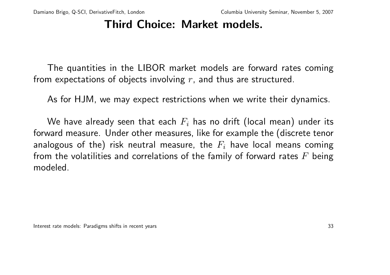The quantities in the LIBOR market models are forward rates coming from expectations of objects involving  $r$ , and thus are structured.

As for HJM, we may expect restrictions when we write their dynamics.

We have already seen that each  $F_i$  has no drift (local mean) under its forward measure. Under other measures, like for example the (discrete tenor analogous of the) risk neutral measure, the  $F_i$  have local means coming from the volatilities and correlations of the family of forward rates  $F$  being modeled.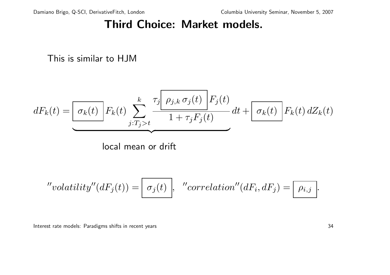This is similar to HJM

$$
dF_k(t) = \underbrace{\boxed{\sigma_k(t)} \, F_k(t)}_{\text{local mean or drift}} \sum_{j:T_j > t}^{k} \underbrace{\frac{\tau_j \boxed{\rho_{j,k} \sigma_j(t)}}{1 + \tau_j F_j(t)}}_{\text{local mean or drift}} dt + \underbrace{\boxed{\sigma_k(t)} \, F_k(t) \, dZ_k(t)}_{\text{total mean at time}}
$$

"
$$
"volatility" (dFj(t)) = \boxed{\sigma_j(t)}, "correlation" (dFi, dFj) = \boxed{\rho_{i,j}}.
$$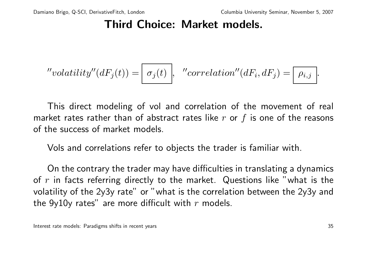"
$$
"volatility''(dF_j(t)) = \boxed{\sigma_j(t)}, \quad "correlation''(dF_i, dF_j) = \boxed{\rho_{i,j}}.
$$

This direct modeling of vol and correlation of the movement of real market rates rather than of abstract rates like  $r$  or  $f$  is one of the reasons of the success of market models.

Vols and correlations refer to objects the trader is familiar with.

On the contrary the trader may have difficulties in translating a dynamics of  $r$  in facts referring directly to the market. Questions like "what is the volatility of the 2y3y rate" or "what is the correlation between the 2y3y and the  $9y10y$  rates" are more difficult with r models.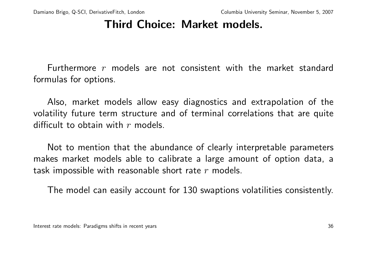Furthermore r models are not consistent with the market standard formulas for options.

Also, market models allow easy diagnostics and extrapolation of the volatility future term structure and of terminal correlations that are quite difficult to obtain with  $r$  models.

Not to mention that the abundance of clearly interpretable parameters makes market models able to calibrate a large amount of option data, a task impossible with reasonable short rate  $r$  models.

The model can easily account for 130 swaptions volatilities consistently.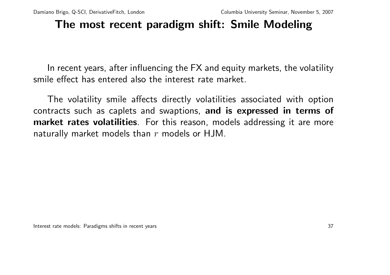## The most recent paradigm shift: Smile Modeling

In recent years, after influencing the FX and equity markets, the volatility smile effect has entered also the interest rate market.

The volatility smile affects directly volatilities associated with option contracts such as caplets and swaptions, and is expressed in terms of market rates volatilities. For this reason, models addressing it are more naturally market models than  $r$  models or HJM.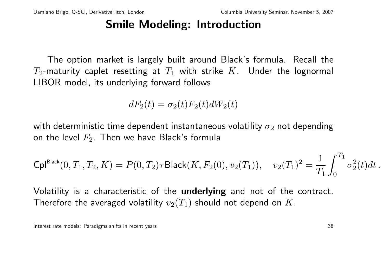## Smile Modeling: Introduction

The option market is largely built around Black's formula. Recall the  $T_2$ -maturity caplet resetting at  $T_1$  with strike K. Under the lognormal LIBOR model, its underlying forward follows

$$
dF_2(t) = \sigma_2(t)F_2(t)dW_2(t)
$$

with deterministic time dependent instantaneous volatility  $\sigma_2$  not depending on the level  $F_2$ . Then we have Black's formula

$$
{\sf Cpl}^{\rm Black}(0,T_1,T_2,K)=P(0,T_2)\tau {\sf Black}(K,F_2(0),v_2(T_1)),\quad v_2(T_1)^2=\frac{1}{T_1}\int_0^{T_1}\sigma_2^2(t)dt\,.
$$

Volatility is a characteristic of the underlying and not of the contract. Therefore the averaged volatility  $v_2(T_1)$  should not depend on K.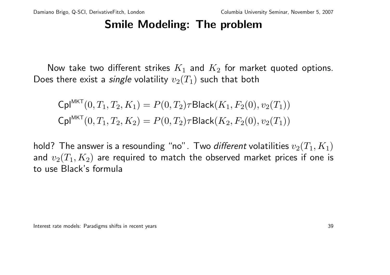## Smile Modeling: The problem

Now take two different strikes  $K_1$  and  $K_2$  for market quoted options. Does there exist a *single* volatility  $v_2(T_1)$  such that both

$$
\mathsf{Cpl}^{\mathsf{MKT}}(0, T_1, T_2, K_1) = P(0, T_2)\tau \mathsf{Black}(K_1, F_2(0), v_2(T_1))
$$

$$
\mathsf{Cpl}^{\mathsf{MKT}}(0, T_1, T_2, K_2) = P(0, T_2)\tau \mathsf{Black}(K_2, F_2(0), v_2(T_1))
$$

hold? The answer is a resounding "no". Two *different* volatilities  $v_2(T_1, K_1)$ and  $v_2(T_1, K_2)$  are required to match the observed market prices if one is to use Black's formula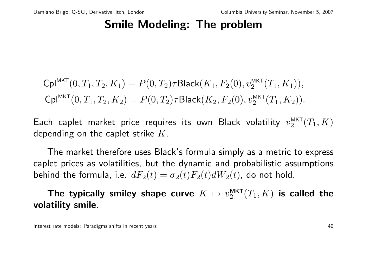## Smile Modeling: The problem

$$
\mathsf{Cpl}^{\mathsf{MKT}}(0,T_1,T_2,K_1) = P(0,T_2)\tau \mathsf{Black}(K_1,F_2(0),v_2^{\mathsf{MKT}}(T_1,K_1)),
$$
  
\n
$$
\mathsf{Cpl}^{\mathsf{MKT}}(0,T_1,T_2,K_2) = P(0,T_2)\tau \mathsf{Black}(K_2,F_2(0),v_2^{\mathsf{MKT}}(T_1,K_2)).
$$

Each caplet market price requires its own Black volatility  $v_2^{\text{MKT}}$  $_2^{\mathsf{MKT}}(T_1,K)$ depending on the caplet strike  $K$ .

The market therefore uses Black's formula simply as a metric to express caplet prices as volatilities, but the dynamic and probabilistic assumptions behind the formula, i.e.  $dF_2(t) = \sigma_2(t)F_2(t)dW_2(t)$ , do not hold.

The typically smiley shape curve  $K \mapsto v_2^{\text{MKT}}$  $_2^{\mathsf{MKT}}(T_1,K)$  is called the volatility smile.

Interest rate models: Paradigms shifts in recent years and the state of the state of the state of the 40 state of the 40 state of the 40 state of the 40 state of the 40 state of the 40 state of the 40 state of the 40 state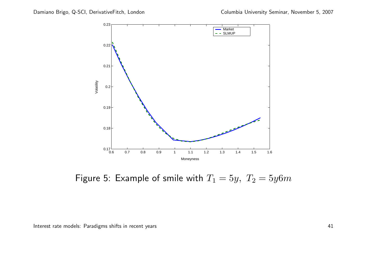

Figure 5: Example of smile with  $T_1 = 5y$ ,  $T_2 = 5y6m$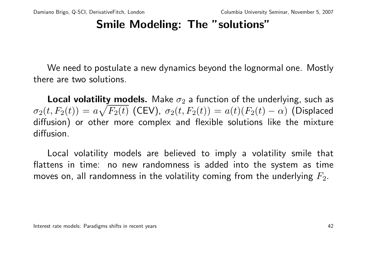## Smile Modeling: The "solutions"

We need to postulate a new dynamics beyond the lognormal one. Mostly there are two solutions.

**Local volatility models.** Make  $\sigma_2$  a function of the underlying, such as  $\sigma_2(t,F_2(t)) = a\sqrt{F_2(t)}$  (CEV),  $\sigma_2(t,F_2(t)) = a(t)(F_2(t)-\alpha)$  (Displaced diffusion) or other more complex and flexible solutions like the mixture diffusion.

Local volatility models are believed to imply a volatility smile that flattens in time: no new randomness is added into the system as time moves on, all randomness in the volatility coming from the underlying  $F_2$ .

Interest rate models: Paradigms shifts in recent years and the state of the state of the state of the 42 state of the 42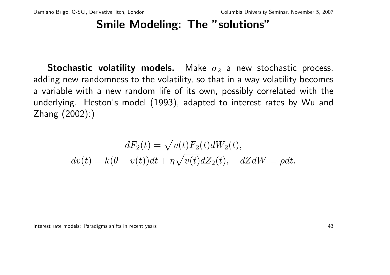## Smile Modeling: The "solutions"

**Stochastic volatility models.** Make  $\sigma_2$  a new stochastic process, adding new randomness to the volatility, so that in a way volatility becomes a variable with a new random life of its own, possibly correlated with the underlying. Heston's model (1993), adapted to interest rates by Wu and Zhang (2002):)

$$
dF_2(t) = \sqrt{v(t)}F_2(t)dW_2(t),
$$
  

$$
dv(t) = k(\theta - v(t))dt + \eta \sqrt{v(t)}dZ_2(t), \quad dZdW = \rho dt.
$$

Interest rate models: Paradigms shifts in recent years and the state of the state of the state of the 43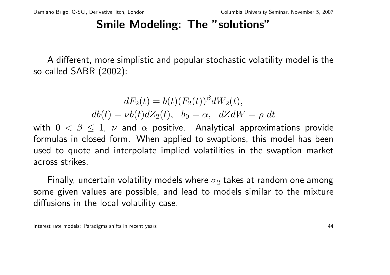## Smile Modeling: The "solutions"

A different, more simplistic and popular stochastic volatility model is the so-called SABR (2002):

> $dF_2(t) = b(t) (F_2(t))^{\beta} dW_2(t),$  $db(t) = \nu b(t) dZ_2(t), b_0 = \alpha, dZdW = \rho dt$

with  $0 < \beta \leq 1$ ,  $\nu$  and  $\alpha$  positive. Analytical approximations provide formulas in closed form. When applied to swaptions, this model has been used to quote and interpolate implied volatilities in the swaption market across strikes.

Finally, uncertain volatility models where  $\sigma_2$  takes at random one among some given values are possible, and lead to models similar to the mixture diffusions in the local volatility case.

Interest rate models: Paradigms shifts in recent years and the state of the state of the state of the 44